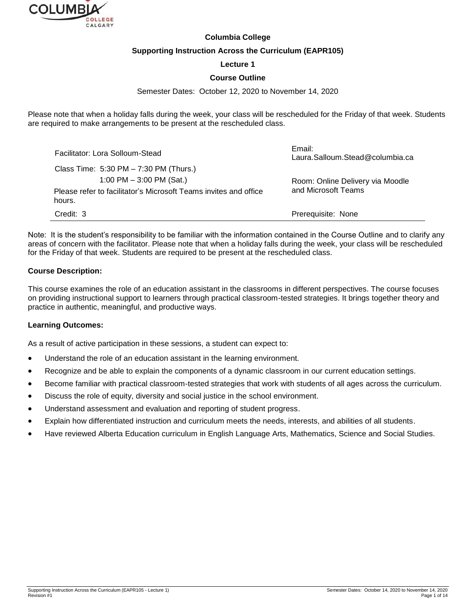

#### **Columbia College**

#### **Supporting Instruction Across the Curriculum (EAPR105)**

#### **Lecture 1**

#### **Course Outline**

#### Semester Dates: October 12, 2020 to November 14, 2020

Please note that when a holiday falls during the week, your class will be rescheduled for the Friday of that week. Students are required to make arrangements to be present at the rescheduled class.

| Facilitator: Lora Solloum-Stead                                            | Email:<br>Laura.Salloum.Stead@columbia.ca |
|----------------------------------------------------------------------------|-------------------------------------------|
| Class Time: 5:30 PM - 7:30 PM (Thurs.)                                     |                                           |
| 1:00 PM $-$ 3:00 PM (Sat.)                                                 | Room: Online Delivery via Moodle          |
| Please refer to facilitator's Microsoft Teams invites and office<br>hours. | and Microsoft Teams                       |
| Credit: 3                                                                  | Prerequisite: None                        |

Note: It is the student's responsibility to be familiar with the information contained in the Course Outline and to clarify any areas of concern with the facilitator. Please note that when a holiday falls during the week, your class will be rescheduled for the Friday of that week. Students are required to be present at the rescheduled class.

## **Course Description:**

This course examines the role of an education assistant in the classrooms in different perspectives. The course focuses on providing instructional support to learners through practical classroom-tested strategies. It brings together theory and practice in authentic, meaningful, and productive ways.

#### **Learning Outcomes:**

As a result of active participation in these sessions, a student can expect to:

- Understand the role of an education assistant in the learning environment.
- Recognize and be able to explain the components of a dynamic classroom in our current education settings.
- Become familiar with practical classroom-tested strategies that work with students of all ages across the curriculum.
- Discuss the role of equity, diversity and social justice in the school environment.
- Understand assessment and evaluation and reporting of student progress.
- Explain how differentiated instruction and curriculum meets the needs, interests, and abilities of all students.
- Have reviewed Alberta Education curriculum in English Language Arts, Mathematics, Science and Social Studies.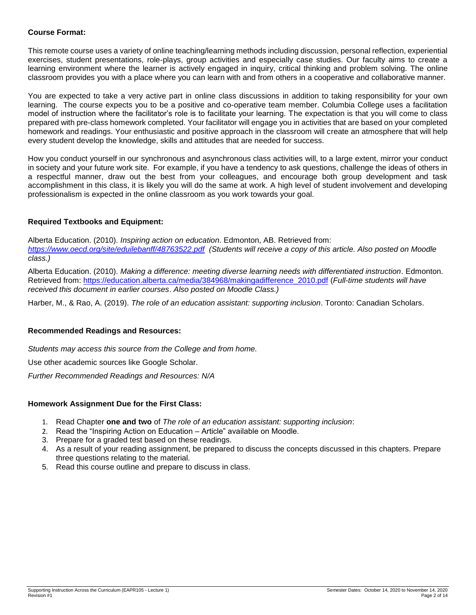## **Course Format:**

This remote course uses a variety of online teaching/learning methods including discussion, personal reflection, experiential exercises, student presentations, role-plays, group activities and especially case studies. Our faculty aims to create a learning environment where the learner is actively engaged in inquiry, critical thinking and problem solving. The online classroom provides you with a place where you can learn with and from others in a cooperative and collaborative manner.

You are expected to take a very active part in online class discussions in addition to taking responsibility for your own learning. The course expects you to be a positive and co-operative team member. Columbia College uses a facilitation model of instruction where the facilitator's role is to facilitate your learning. The expectation is that you will come to class prepared with pre-class homework completed. Your facilitator will engage you in activities that are based on your completed homework and readings. Your enthusiastic and positive approach in the classroom will create an atmosphere that will help every student develop the knowledge, skills and attitudes that are needed for success.

How you conduct yourself in our synchronous and asynchronous class activities will, to a large extent, mirror your conduct in society and your future work site. For example, if you have a tendency to ask questions, challenge the ideas of others in a respectful manner, draw out the best from your colleagues, and encourage both group development and task accomplishment in this class, it is likely you will do the same at work. A high level of student involvement and developing professionalism is expected in the online classroom as you work towards your goal.

## **Required Textbooks and Equipment:**

Alberta Education. (2010). *Inspiring action on education*. Edmonton, AB. Retrieved from: *<https://www.oecd.org/site/eduilebanff/48763522.pdf> (Students will receive a copy of this article. Also posted on Moodle class.)*

Alberta Education. (2010). *Making a difference: meeting diverse learning needs with differentiated instruction*. Edmonton. Retrieved from: [https://education.alberta.ca/media/384968/makingadifference\\_2010.pdf](https://education.alberta.ca/media/384968/makingadifference_2010.pdf) (*Full-time students will have received this document in earlier courses*. *Also posted on Moodle Class.)*

Harber, M., & Rao, A. (2019). *The role of an education assistant: supporting inclusion*. Toronto: Canadian Scholars.

#### **Recommended Readings and Resources:**

*Students may access this source from the College and from home.*

Use other academic sources like Google Scholar.

*Further Recommended Readings and Resources: N/A*

#### **Homework Assignment Due for the First Class:**

- 1. Read Chapter **one and two** of *The role of an education assistant: supporting inclusion*:
- 2. Read the "Inspiring Action on Education Article" available on Moodle.
- 3. Prepare for a graded test based on these readings.
- 4. As a result of your reading assignment, be prepared to discuss the concepts discussed in this chapters. Prepare three questions relating to the material.
- 5. Read this course outline and prepare to discuss in class.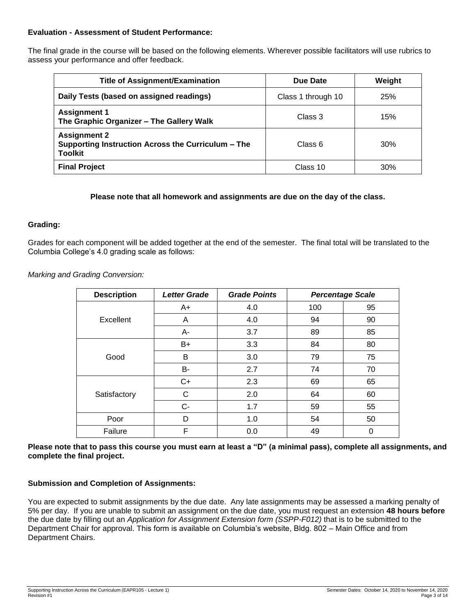## **Evaluation - Assessment of Student Performance:**

The final grade in the course will be based on the following elements. Wherever possible facilitators will use rubrics to assess your performance and offer feedback.

| <b>Title of Assignment/Examination</b>                                                      | Due Date           | Weight |
|---------------------------------------------------------------------------------------------|--------------------|--------|
| Daily Tests (based on assigned readings)                                                    | Class 1 through 10 | 25%    |
| <b>Assignment 1</b><br>The Graphic Organizer - The Gallery Walk                             | Class 3            | 15%    |
| <b>Assignment 2</b><br>Supporting Instruction Across the Curriculum – The<br><b>Toolkit</b> | Class 6            | 30%    |
| <b>Final Project</b>                                                                        | Class 10           | 30%    |

## **Please note that all homework and assignments are due on the day of the class.**

## **Grading:**

Grades for each component will be added together at the end of the semester. The final total will be translated to the Columbia College's 4.0 grading scale as follows:

*Marking and Grading Conversion:*

| <b>Description</b> | <b>Letter Grade</b> | <b>Grade Points</b> |     | <b>Percentage Scale</b> |
|--------------------|---------------------|---------------------|-----|-------------------------|
|                    | $A+$                | 4.0                 | 100 | 95                      |
| Excellent          | A                   | 4.0                 | 94  | 90                      |
|                    | A-                  | 3.7                 | 89  | 85                      |
|                    | B+                  | 3.3                 | 84  | 80                      |
| Good               | B                   | 3.0                 | 79  | 75                      |
|                    | B-                  | 2.7                 | 74  | 70                      |
|                    | $C+$                | 2.3                 | 69  | 65                      |
| Satisfactory       | С                   | 2.0                 | 64  | 60                      |
|                    | $C -$               | 1.7                 | 59  | 55                      |
| Poor               | D                   | 1.0                 | 54  | 50                      |
| Failure            | F                   | 0.0                 | 49  | 0                       |

**Please note that to pass this course you must earn at least a "D" (a minimal pass), complete all assignments, and complete the final project.**

#### **Submission and Completion of Assignments:**

You are expected to submit assignments by the due date. Any late assignments may be assessed a marking penalty of 5% per day. If you are unable to submit an assignment on the due date, you must request an extension **48 hours before** the due date by filling out an *Application for Assignment Extension form (SSPP-F012)* that is to be submitted to the Department Chair for approval. This form is available on Columbia's website, Bldg. 802 – Main Office and from Department Chairs.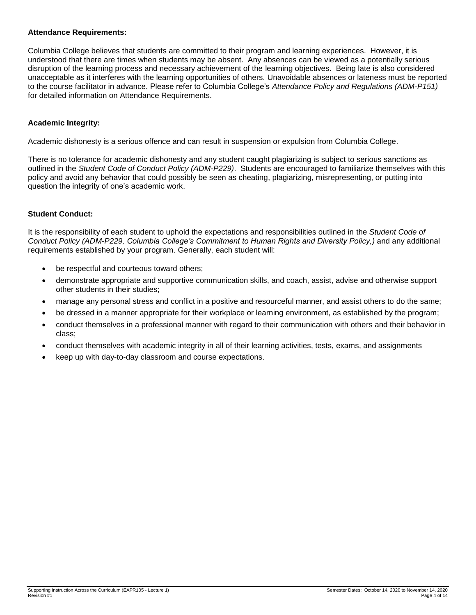## **Attendance Requirements:**

Columbia College believes that students are committed to their program and learning experiences. However, it is understood that there are times when students may be absent. Any absences can be viewed as a potentially serious disruption of the learning process and necessary achievement of the learning objectives. Being late is also considered unacceptable as it interferes with the learning opportunities of others. Unavoidable absences or lateness must be reported to the course facilitator in advance. Please refer to Columbia College's *Attendance Policy and Regulations (ADM-P151)* for detailed information on Attendance Requirements.

## **Academic Integrity:**

Academic dishonesty is a serious offence and can result in suspension or expulsion from Columbia College.

There is no tolerance for academic dishonesty and any student caught plagiarizing is subject to serious sanctions as outlined in the *Student Code of Conduct Policy (ADM-P229)*. Students are encouraged to familiarize themselves with this policy and avoid any behavior that could possibly be seen as cheating, plagiarizing, misrepresenting, or putting into question the integrity of one's academic work.

## **Student Conduct:**

It is the responsibility of each student to uphold the expectations and responsibilities outlined in the *Student Code of Conduct Policy (ADM-P229, Columbia College's Commitment to Human Rights and Diversity Policy,)* and any additional requirements established by your program. Generally, each student will:

- be respectful and courteous toward others;
- demonstrate appropriate and supportive communication skills, and coach, assist, advise and otherwise support other students in their studies;
- manage any personal stress and conflict in a positive and resourceful manner, and assist others to do the same;
- be dressed in a manner appropriate for their workplace or learning environment, as established by the program;
- conduct themselves in a professional manner with regard to their communication with others and their behavior in class;
- conduct themselves with academic integrity in all of their learning activities, tests, exams, and assignments
- keep up with day-to-day classroom and course expectations.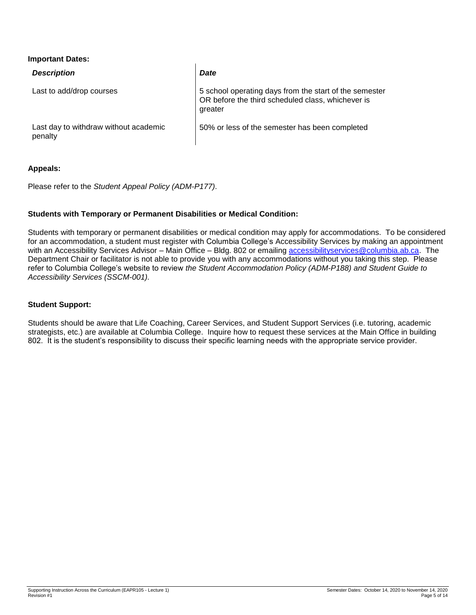#### **Important Dates:**

| <b>Description</b>                               | <b>Date</b>                                                                                                            |
|--------------------------------------------------|------------------------------------------------------------------------------------------------------------------------|
| Last to add/drop courses                         | 5 school operating days from the start of the semester<br>OR before the third scheduled class, whichever is<br>greater |
| Last day to withdraw without academic<br>penalty | 50% or less of the semester has been completed                                                                         |

## **Appeals:**

Please refer to the *Student Appeal Policy (ADM-P177)*.

## **Students with Temporary or Permanent Disabilities or Medical Condition:**

Students with temporary or permanent disabilities or medical condition may apply for accommodations. To be considered for an accommodation, a student must register with Columbia College's Accessibility Services by making an appointment with an Accessibility Services Advisor – Main Office – Bldg. 802 or emailing [accessibilityservices@columbia.ab.ca.](mailto:accessibilityservices@columbia.ab.ca) The Department Chair or facilitator is not able to provide you with any accommodations without you taking this step. Please refer to Columbia College's website to review *the Student Accommodation Policy (ADM-P188) and Student Guide to Accessibility Services (SSCM-001).*

#### **Student Support:**

Students should be aware that Life Coaching, Career Services, and Student Support Services (i.e. tutoring, academic strategists, etc.) are available at Columbia College. Inquire how to request these services at the Main Office in building 802. It is the student's responsibility to discuss their specific learning needs with the appropriate service provider.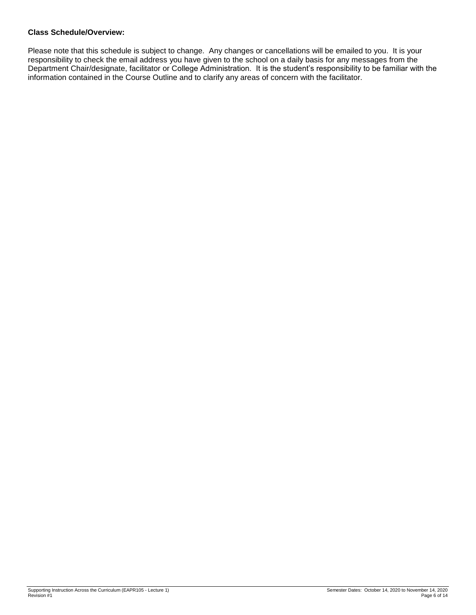# **Class Schedule/Overview:**

Please note that this schedule is subject to change. Any changes or cancellations will be emailed to you. It is your responsibility to check the email address you have given to the school on a daily basis for any messages from the Department Chair/designate, facilitator or College Administration. It is the student's responsibility to be familiar with the information contained in the Course Outline and to clarify any areas of concern with the facilitator.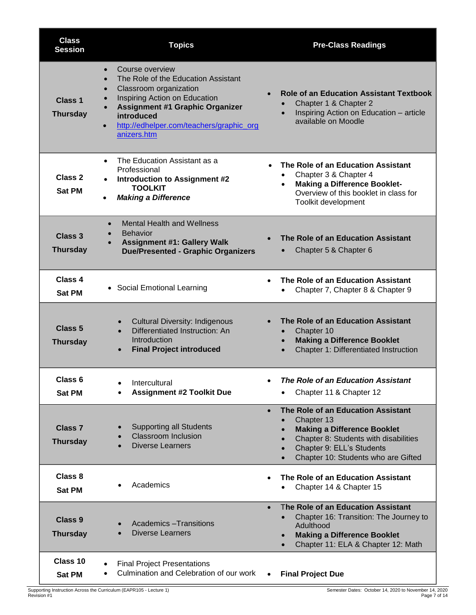| <b>Class</b><br><b>Session</b>        | <b>Topics</b>                                                                                                                                                                                                                                                                                                      | <b>Pre-Class Readings</b>                                                                                                                                                                                                                                                         |
|---------------------------------------|--------------------------------------------------------------------------------------------------------------------------------------------------------------------------------------------------------------------------------------------------------------------------------------------------------------------|-----------------------------------------------------------------------------------------------------------------------------------------------------------------------------------------------------------------------------------------------------------------------------------|
| Class <sub>1</sub><br><b>Thursday</b> | Course overview<br>$\bullet$<br>The Role of the Education Assistant<br>$\bullet$<br>Classroom organization<br>$\bullet$<br>Inspiring Action on Education<br>$\bullet$<br><b>Assignment #1 Graphic Organizer</b><br>$\bullet$<br>introduced<br>http://edhelper.com/teachers/graphic_org<br>$\bullet$<br>anizers.htm | <b>Role of an Education Assistant Textbook</b><br>$\bullet$<br>Chapter 1 & Chapter 2<br>$\bullet$<br>Inspiring Action on Education - article<br>$\bullet$<br>available on Moodle                                                                                                  |
| Class 2<br><b>Sat PM</b>              | The Education Assistant as a<br>$\bullet$<br>Professional<br><b>Introduction to Assignment #2</b><br>$\bullet$<br><b>TOOLKIT</b><br><b>Making a Difference</b><br>$\bullet$                                                                                                                                        | The Role of an Education Assistant<br>Chapter 3 & Chapter 4<br><b>Making a Difference Booklet-</b><br>$\bullet$<br>Overview of this booklet in class for<br>Toolkit development                                                                                                   |
| <b>Class 3</b><br><b>Thursday</b>     | <b>Mental Health and Wellness</b><br>$\bullet$<br><b>Behavior</b><br><b>Assignment #1: Gallery Walk</b><br><b>Due/Presented - Graphic Organizers</b>                                                                                                                                                               | The Role of an Education Assistant<br>Chapter 5 & Chapter 6                                                                                                                                                                                                                       |
| Class 4<br><b>Sat PM</b>              | • Social Emotional Learning                                                                                                                                                                                                                                                                                        | The Role of an Education Assistant<br>Chapter 7, Chapter 8 & Chapter 9<br>$\bullet$                                                                                                                                                                                               |
| Class <sub>5</sub><br><b>Thursday</b> | <b>Cultural Diversity: Indigenous</b><br>$\bullet$<br>Differentiated Instruction: An<br>$\bullet$<br>Introduction<br><b>Final Project introduced</b><br>$\bullet$                                                                                                                                                  | The Role of an Education Assistant<br>Chapter 10<br>$\bullet$<br><b>Making a Difference Booklet</b><br>$\bullet$<br>Chapter 1: Differentiated Instruction<br>$\bullet$                                                                                                            |
| Class 6<br><b>Sat PM</b>              | Intercultural<br>$\bullet$<br><b>Assignment #2 Toolkit Due</b>                                                                                                                                                                                                                                                     | The Role of an Education Assistant<br>Chapter 11 & Chapter 12<br>$\bullet$                                                                                                                                                                                                        |
| <b>Class 7</b><br><b>Thursday</b>     | <b>Supporting all Students</b><br><b>Classroom Inclusion</b><br><b>Diverse Learners</b>                                                                                                                                                                                                                            | The Role of an Education Assistant<br>$\bullet$<br>Chapter 13<br>$\bullet$<br><b>Making a Difference Booklet</b><br>$\bullet$<br>Chapter 8: Students with disabilities<br>$\bullet$<br>Chapter 9: ELL's Students<br>$\bullet$<br>Chapter 10: Students who are Gifted<br>$\bullet$ |
| Class 8<br><b>Sat PM</b>              | Academics                                                                                                                                                                                                                                                                                                          | The Role of an Education Assistant<br>Chapter 14 & Chapter 15                                                                                                                                                                                                                     |
| <b>Class 9</b><br><b>Thursday</b>     | <b>Academics - Transitions</b><br><b>Diverse Learners</b>                                                                                                                                                                                                                                                          | The Role of an Education Assistant<br>Chapter 16: Transition: The Journey to<br>Adulthood<br><b>Making a Difference Booklet</b><br>Chapter 11: ELA & Chapter 12: Math                                                                                                             |
| Class 10<br><b>Sat PM</b>             | <b>Final Project Presentations</b><br>Culmination and Celebration of our work<br>٠                                                                                                                                                                                                                                 | <b>Final Project Due</b>                                                                                                                                                                                                                                                          |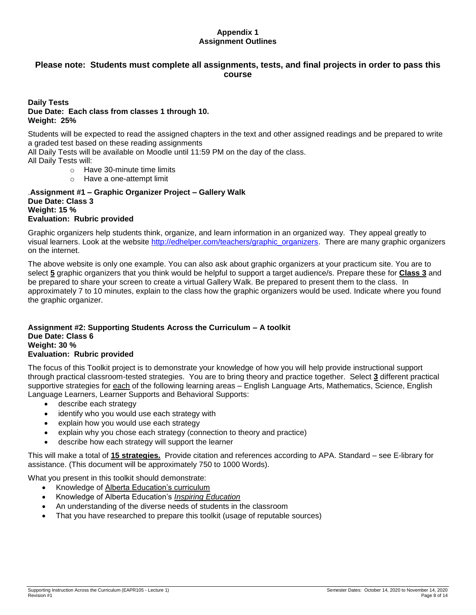## **Appendix 1 Assignment Outlines**

# **Please note: Students must complete all assignments, tests, and final projects in order to pass this course**

#### **Daily Tests Due Date: Each class from classes 1 through 10. Weight: 25%**

Students will be expected to read the assigned chapters in the text and other assigned readings and be prepared to write a graded test based on these reading assignments

All Daily Tests will be available on Moodle until 11:59 PM on the day of the class.

All Daily Tests will:

- o Have 30-minute time limits
- o Have a one-attempt limit

.**Assignment #1 – Graphic Organizer Project – Gallery Walk Due Date: Class 3 Weight: 15 % Evaluation: Rubric provided**

Graphic organizers help students think, organize, and learn information in an organized way. They appeal greatly to visual learners. Look at the website [http://edhelper.com/teachers/graphic\\_organizers.](http://edhelper.com/teachers/graphic_organizers) There are many graphic organizers on the internet.

The above website is only one example. You can also ask about graphic organizers at your practicum site. You are to select **5** graphic organizers that you think would be helpful to support a target audience/s. Prepare these for **Class 3** and be prepared to share your screen to create a virtual Gallery Walk. Be prepared to present them to the class. In approximately 7 to 10 minutes, explain to the class how the graphic organizers would be used. Indicate where you found the graphic organizer.

#### **Assignment #2: Supporting Students Across the Curriculum – A toolkit Due Date: Class 6 Weight: 30 % Evaluation: Rubric provided**

The focus of this Toolkit project is to demonstrate your knowledge of how you will help provide instructional support through practical classroom-tested strategies. You are to bring theory and practice together. Select **3** different practical supportive strategies for each of the following learning areas – English Language Arts, Mathematics, Science, English Language Learners, Learner Supports and Behavioral Supports:

- describe each strategy
- identify who you would use each strategy with
- explain how you would use each strategy
- explain why you chose each strategy (connection to theory and practice)
- describe how each strategy will support the learner

This will make a total of **15 strategies.** Provide citation and references according to APA. Standard – see E-library for assistance. (This document will be approximately 750 to 1000 Words).

What you present in this toolkit should demonstrate:

- Knowledge of [Alberta Education's curriculum](http://inspiring.education.alberta.ca/initiative/curriculum-redesign/)
- Knowledge of Alberta Education's *[Inspiring Education](http://education.alberta.ca/media/7145083/inspiring%20education%20steering%20committee%20report.pdf)*
- An understanding of the diverse needs of students in the classroom
- That you have researched to prepare this toolkit (usage of reputable sources)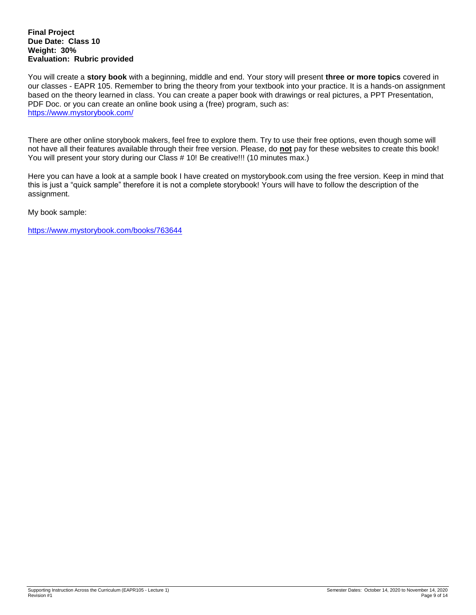#### **Final Project Due Date: Class 10 Weight: 30% Evaluation: Rubric provided**

You will create a **story book** with a beginning, middle and end. Your story will present **three or more topics** covered in our classes - EAPR 105. Remember to bring the theory from your textbook into your practice. It is a hands-on assignment based on the theory learned in class. You can create a paper book with drawings or real pictures, a PPT Presentation, PDF Doc. or you can create an online book using a (free) program, such as: <https://www.mystorybook.com/>

There are other online storybook makers, feel free to explore them. Try to use their free options, even though some will not have all their features available through their free version. Please, do **not** pay for these websites to create this book! You will present your story during our Class # 10! Be creative!!! (10 minutes max.)

Here you can have a look at a sample book I have created on mystorybook.com using the free version. Keep in mind that this is just a "quick sample" therefore it is not a complete storybook! Yours will have to follow the description of the assignment.

My book sample:

<https://www.mystorybook.com/books/763644>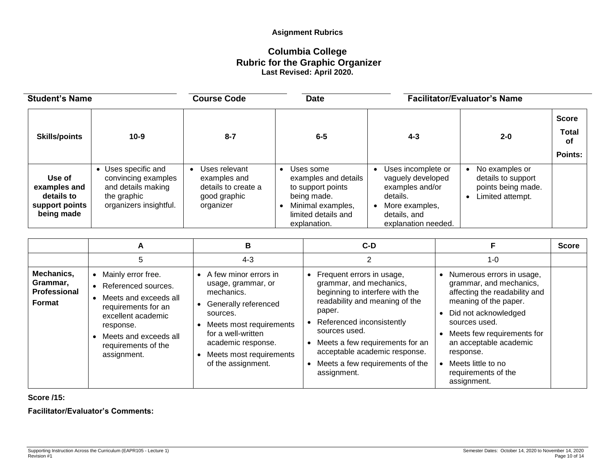# **Asignment Rubrics**

# **Columbia College Rubric for the Graphic Organizer Last Revised: April 2020.**

| <b>Student's Name</b>                                                |                                                                                                         | <b>Course Code</b><br><b>Date</b>                                                 |                                                                                                                                   |                                                                                                                                              | <b>Facilitator/Evaluator's Name</b>                                            |                                    |  |
|----------------------------------------------------------------------|---------------------------------------------------------------------------------------------------------|-----------------------------------------------------------------------------------|-----------------------------------------------------------------------------------------------------------------------------------|----------------------------------------------------------------------------------------------------------------------------------------------|--------------------------------------------------------------------------------|------------------------------------|--|
| <b>Skills/points</b>                                                 | $10-9$                                                                                                  | $8 - 7$                                                                           | $6-5$                                                                                                                             | $4 - 3$                                                                                                                                      | $2 - 0$                                                                        | <b>Score</b><br><b>Total</b><br>оf |  |
|                                                                      |                                                                                                         |                                                                                   |                                                                                                                                   |                                                                                                                                              |                                                                                | Points:                            |  |
| Use of<br>examples and<br>details to<br>support points<br>being made | Uses specific and<br>convincing examples<br>and details making<br>the graphic<br>organizers insightful. | Uses relevant<br>examples and<br>details to create a<br>good graphic<br>organizer | Uses some<br>examples and details<br>to support points<br>being made.<br>Minimal examples,<br>limited details and<br>explanation. | Uses incomplete or<br>$\bullet$<br>vaguely developed<br>examples and/or<br>details.<br>More examples,<br>details, and<br>explanation needed. | No examples or<br>details to support<br>points being made.<br>Limited attempt. |                                    |  |

|                                                  | А                                                                                                                                                                                                          | в                                                                                                                                                                                                                     | $C-D$                                                                                                                                                                                                                                                                                                   |                                                                                                                                                                                                                                                                                          | <b>Score</b> |
|--------------------------------------------------|------------------------------------------------------------------------------------------------------------------------------------------------------------------------------------------------------------|-----------------------------------------------------------------------------------------------------------------------------------------------------------------------------------------------------------------------|---------------------------------------------------------------------------------------------------------------------------------------------------------------------------------------------------------------------------------------------------------------------------------------------------------|------------------------------------------------------------------------------------------------------------------------------------------------------------------------------------------------------------------------------------------------------------------------------------------|--------------|
|                                                  | 5                                                                                                                                                                                                          | $4 - 3$                                                                                                                                                                                                               |                                                                                                                                                                                                                                                                                                         | $1 - 0$                                                                                                                                                                                                                                                                                  |              |
| Mechanics,<br>Grammar,<br>Professional<br>Format | Mainly error free.<br>$\bullet$<br>• Referenced sources.<br>Meets and exceeds all<br>requirements for an<br>excellent academic<br>response.<br>Meets and exceeds all<br>requirements of the<br>assignment. | A few minor errors in<br>usage, grammar, or<br>mechanics.<br>Generally referenced<br>sources.<br>Meets most requirements<br>for a well-written<br>academic response.<br>Meets most requirements<br>of the assignment. | Frequent errors in usage,<br>grammar, and mechanics,<br>beginning to interfere with the<br>readability and meaning of the<br>paper.<br>Referenced inconsistently<br>sources used.<br>Meets a few requirements for an<br>acceptable academic response.<br>Meets a few requirements of the<br>assignment. | Numerous errors in usage,<br>grammar, and mechanics,<br>affecting the readability and<br>meaning of the paper.<br>Did not acknowledged<br>sources used.<br>Meets few requirements for<br>an acceptable academic<br>response.<br>Meets little to no<br>requirements of the<br>assignment. |              |

**Score /15:** 

**Facilitator/Evaluator's Comments:**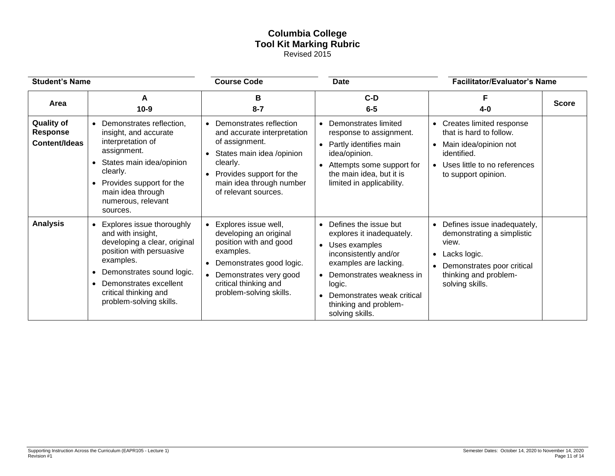## **Columbia College Tool Kit Marking Rubric** Revised 2015

| <b>Student's Name</b>                                        |                                                                                                                                                                                                                                                              | <b>Course Code</b>                                                                                                                                                                                    | <b>Date</b>                                                                                                                                                                                                                                                                  | <b>Facilitator/Evaluator's Name</b>                                                                                                                                                    |              |
|--------------------------------------------------------------|--------------------------------------------------------------------------------------------------------------------------------------------------------------------------------------------------------------------------------------------------------------|-------------------------------------------------------------------------------------------------------------------------------------------------------------------------------------------------------|------------------------------------------------------------------------------------------------------------------------------------------------------------------------------------------------------------------------------------------------------------------------------|----------------------------------------------------------------------------------------------------------------------------------------------------------------------------------------|--------------|
| Area                                                         | A<br>$10-9$                                                                                                                                                                                                                                                  | в<br>$8 - 7$                                                                                                                                                                                          | $C-D$<br>$6-5$                                                                                                                                                                                                                                                               | $4 - 0$                                                                                                                                                                                | <b>Score</b> |
| <b>Quality of</b><br><b>Response</b><br><b>Content/Ideas</b> | Demonstrates reflection.<br>insight, and accurate<br>interpretation of<br>assignment.<br>• States main idea/opinion<br>clearly.<br>• Provides support for the<br>main idea through<br>numerous, relevant<br>sources.                                         | • Demonstrates reflection<br>and accurate interpretation<br>of assignment.<br>States main idea /opinion<br>clearly.<br>• Provides support for the<br>main idea through number<br>of relevant sources. | Demonstrates limited<br>response to assignment.<br>Partly identifies main<br>$\bullet$<br>idea/opinion.<br>Attempts some support for<br>$\bullet$<br>the main idea, but it is<br>limited in applicability.                                                                   | • Creates limited response<br>that is hard to follow.<br>Main idea/opinion not<br>identified.<br>Uses little to no references<br>to support opinion.                                   |              |
| <b>Analysis</b>                                              | Explores issue thoroughly<br>$\bullet$<br>and with insight,<br>developing a clear, original<br>position with persuasive<br>examples.<br>Demonstrates sound logic.<br>$\bullet$<br>Demonstrates excellent<br>critical thinking and<br>problem-solving skills. | • Explores issue well,<br>developing an original<br>position with and good<br>examples.<br>• Demonstrates good logic.<br>• Demonstrates very good<br>critical thinking and<br>problem-solving skills. | Defines the issue but<br>$\bullet$<br>explores it inadequately.<br>Uses examples<br>$\bullet$<br>inconsistently and/or<br>examples are lacking.<br>Demonstrates weakness in<br>$\bullet$<br>logic.<br>Demonstrates weak critical<br>thinking and problem-<br>solving skills. | Defines issue inadequately,<br>$\bullet$<br>demonstrating a simplistic<br>view.<br>Lacks logic.<br>$\bullet$<br>Demonstrates poor critical<br>thinking and problem-<br>solving skills. |              |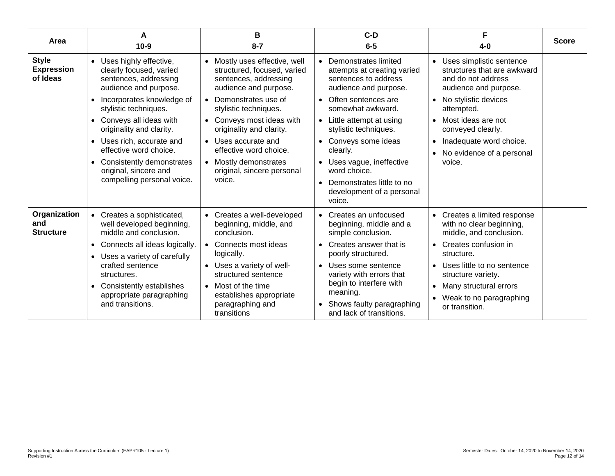| Area                                          | А<br>$10-9$                                                                                                                          | В<br>$8 - 7$                                                                                                                            | $C-D$<br>$6 - 5$                                                                                                                | $4-0$                                                                                                                                                    | <b>Score</b> |
|-----------------------------------------------|--------------------------------------------------------------------------------------------------------------------------------------|-----------------------------------------------------------------------------------------------------------------------------------------|---------------------------------------------------------------------------------------------------------------------------------|----------------------------------------------------------------------------------------------------------------------------------------------------------|--------------|
| <b>Style</b><br><b>Expression</b><br>of Ideas | • Uses highly effective,<br>clearly focused, varied<br>sentences, addressing<br>audience and purpose.<br>• Incorporates knowledge of | • Mostly uses effective, well<br>structured, focused, varied<br>sentences, addressing<br>audience and purpose.<br>• Demonstrates use of | • Demonstrates limited<br>attempts at creating varied<br>sentences to address<br>audience and purpose.<br>• Often sentences are | Uses simplistic sentence<br>$\bullet$<br>structures that are awkward<br>and do not address<br>audience and purpose.<br>No stylistic devices<br>$\bullet$ |              |
|                                               | stylistic techniques.                                                                                                                | stylistic techniques.                                                                                                                   | somewhat awkward.                                                                                                               | attempted.                                                                                                                                               |              |
|                                               | • Conveys all ideas with<br>originality and clarity.                                                                                 | • Conveys most ideas with<br>originality and clarity.                                                                                   | • Little attempt at using<br>stylistic techniques.                                                                              | Most ideas are not<br>$\bullet$<br>conveyed clearly.                                                                                                     |              |
|                                               | Uses rich, accurate and<br>effective word choice.                                                                                    | • Uses accurate and<br>effective word choice.                                                                                           | • Conveys some ideas<br>clearly.                                                                                                | Inadequate word choice.<br>$\bullet$<br>No evidence of a personal                                                                                        |              |
|                                               | • Consistently demonstrates<br>original, sincere and                                                                                 | • Mostly demonstrates<br>original, sincere personal                                                                                     | • Uses vague, ineffective<br>word choice.                                                                                       | voice.                                                                                                                                                   |              |
|                                               | compelling personal voice.                                                                                                           | voice.                                                                                                                                  | • Demonstrates little to no<br>development of a personal<br>voice.                                                              |                                                                                                                                                          |              |
| Organization<br>and<br><b>Structure</b>       | • Creates a sophisticated,<br>well developed beginning,<br>middle and conclusion.                                                    | • Creates a well-developed<br>beginning, middle, and<br>conclusion.                                                                     | • Creates an unfocused<br>beginning, middle and a<br>simple conclusion.                                                         | • Creates a limited response<br>with no clear beginning,<br>middle, and conclusion.                                                                      |              |
|                                               | • Connects all ideas logically.                                                                                                      | • Connects most ideas                                                                                                                   | Creates answer that is<br>poorly structured.                                                                                    | Creates confusion in<br>$\bullet$<br>structure.                                                                                                          |              |
|                                               | • Uses a variety of carefully<br>crafted sentence<br>structures.                                                                     | logically.<br>• Uses a variety of well-<br>structured sentence                                                                          | • Uses some sentence<br>variety with errors that                                                                                | Uses little to no sentence<br>$\bullet$<br>structure variety.                                                                                            |              |
|                                               | • Consistently establishes<br>appropriate paragraphing                                                                               | • Most of the time<br>establishes appropriate                                                                                           | begin to interfere with<br>meaning.                                                                                             | Many structural errors<br>$\bullet$                                                                                                                      |              |
|                                               | and transitions.                                                                                                                     | paragraphing and<br>transitions                                                                                                         | • Shows faulty paragraphing<br>and lack of transitions.                                                                         | • Weak to no paragraphing<br>or transition.                                                                                                              |              |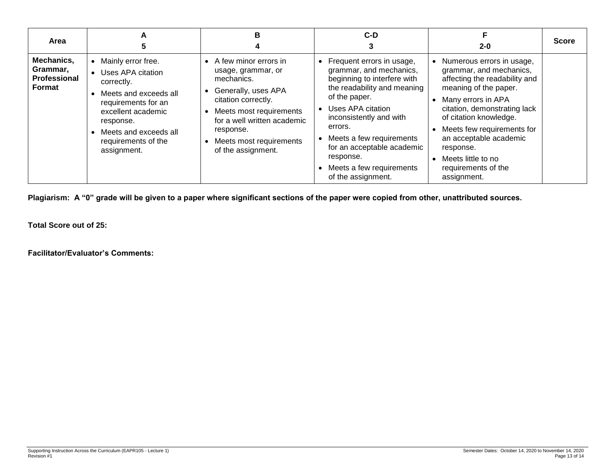| Area                                                    | A                                                                                                                                                                                                       | в                                                                                                                                                                                                                                 | C-D                                                                                                                                                                                                                                                                                                                       | $2 - 0$                                                                                                                                                                                                                                                                                                                           | <b>Score</b> |
|---------------------------------------------------------|---------------------------------------------------------------------------------------------------------------------------------------------------------------------------------------------------------|-----------------------------------------------------------------------------------------------------------------------------------------------------------------------------------------------------------------------------------|---------------------------------------------------------------------------------------------------------------------------------------------------------------------------------------------------------------------------------------------------------------------------------------------------------------------------|-----------------------------------------------------------------------------------------------------------------------------------------------------------------------------------------------------------------------------------------------------------------------------------------------------------------------------------|--------------|
| Mechanics,<br>Grammar,<br><b>Professional</b><br>Format | Mainly error free.<br>Uses APA citation<br>correctly.<br>Meets and exceeds all<br>requirements for an<br>excellent academic<br>response.<br>Meets and exceeds all<br>requirements of the<br>assignment. | • A few minor errors in<br>usage, grammar, or<br>mechanics.<br>Generally, uses APA<br>citation correctly.<br>Meets most requirements<br>for a well written academic<br>response.<br>Meets most requirements<br>of the assignment. | • Frequent errors in usage,<br>grammar, and mechanics,<br>beginning to interfere with<br>the readability and meaning<br>of the paper.<br>Uses APA citation<br>inconsistently and with<br>errors.<br>Meets a few requirements<br>for an acceptable academic<br>response.<br>Meets a few requirements<br>of the assignment. | Numerous errors in usage,<br>grammar, and mechanics,<br>affecting the readability and<br>meaning of the paper.<br>• Many errors in APA<br>citation, demonstrating lack<br>of citation knowledge.<br>Meets few requirements for<br>an acceptable academic<br>response.<br>Meets little to no<br>requirements of the<br>assignment. |              |

**Plagiarism: A "0" grade will be given to a paper where significant sections of the paper were copied from other, unattributed sources.**

**Total Score out of 25:**

**Facilitator/Evaluator's Comments:**